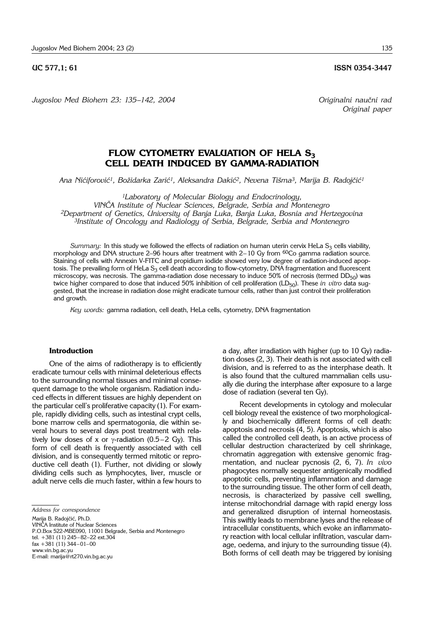#### **UC 577.1: 61 ISSN 0354-3447**

*Jugoslov Med Biohem 23: 135–142, 2004 Originalni nau~ni rad*

*Original paper*

# **FLOW CYTOMETRY EVALUATION OF HELA S<sub>3</sub> CELL DEATH INDUCED BY GAMMA-RADIATION**

Ana Nićiforović<sup>1</sup>, Božidarka Zarić<sup>1</sup>, Aleksandra Dakić<sup>2</sup>, Nevena Tišma<sup>3</sup>, Marija B. Radojčić<sup>1</sup>

*1Laboratory of Molecular Biology and Endocrinology,* 

*VIN^A Institute of Nuclear Sciences, Belgrade, Serbia and Montenegro*

*2Department of Genetics, University of Banja Luka, Banja Luka, Bosnia and Hertzegovina*

*3Institute of Oncology and Radiology of Serbia, Belgrade, Serbia and Montenegro*

*Summary:* In this study we followed the effects of radiation on human uterin cervix HeLa S<sub>3</sub> cells viability, morphology and DNA structure 2-96 hours after treatment with  $2-10$  Gy from <sup>60</sup>Co gamma radiation source. Staining of cells with Annexin V-FITC and propidium iodide showed very low degree of radiation-induced apoptosis. The prevailing form of HeLa S<sub>3</sub> cell death according to flow-cytometry, DNA fragmentation and fluorescent microscopy, was necrosis. The gamma-radiation dose necessary to induce 50% of necrosis (termed  $DD_{50}$ ) was twice higher compared to dose that induced 50% inhibition of cell proliferation (LD<sub>50</sub>). These *in vitro* data suggested, that the increase in radiation dose might eradicate tumour cells, rather than just control their proliferation and growth.

*Key words:* gamma radiation, cell death, HeLa cells, cytometry, DNA fragmentation

### **Introduction**

One of the aims of radiotherapy is to efficiently eradicate tumour cells with minimal deleterious effects to the surrounding normal tissues and minimal consequent damage to the whole organism. Radiation induced effects in different tissues are highly dependent on the particular cell's proliferative capacity (1). For example, rapidly dividing cells, such as intestinal crypt cells, bone marrow cells and spermatogonia, die within several hours to several days post treatment with relatively low doses of x or  $\gamma$ -radiation (0.5-2 Gy). This form of cell death is frequently associated with cell division, and is consequently termed mitotic or reproductive cell death (1). Further, not dividing or slowly dividing cells such as lymphocytes, liver, muscle or adult nerve cells die much faster, within a few hours to

Marija B. Radojčić, Ph.D.

VIN^A Institute of Nuclear Sciences P.O.Box 522-MBE090, 11001 Belgrade, Serbia and Montenegro tel.  $+381$  (11) 245-82-22 ext.304  $\text{fax } +381$  (11) 344-01-00 www.vin.bg.ac.yu E-mail: marija@rt270.vin.bg.ac.yu

a day, after irradiation with higher (up to 10 Gy) radiation doses (2, 3). Their death is not associated with cell division, and is referred to as the interphase death. It is also found that the cultured mammalian cells usually die during the interphase after exposure to a large dose of radiation (several ten Gy).

Recent developments in cytology and molecular cell biology reveal the existence of two morphologically and biochemically different forms of cell death: apoptosis and necrosis (4, 5). Apoptosis, which is also called the controlled cell death, is an active process of cellular destruction characterized by cell shrinkage, chromatin aggregation with extensive genomic fragmentation, and nuclear pycnosis (2, 6, 7). *In vivo* phagocytes normally sequester antigenically modified apoptotic cells, preventing inflammation and damage to the surrounding tissue. The other form of cell death, necrosis, is characterized by passive cell swelling, intense mitochondrial damage with rapid energy loss and generalized disruption of internal homeostasis. This swiftly leads to membrane lyses and the release of intracellular constituents, which evoke an inflammatory reaction with local cellular infiltration, vascular damage, oedema, and injury to the surrounding tissue (4). Both forms of cell death may be triggered by ionising

*Address for correspondence*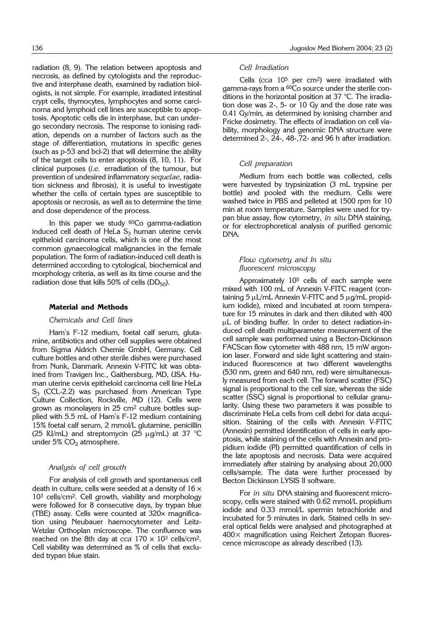radiation (8, 9). The relation between apoptosis and necrosis, as defined by cytologists and the reproductive and interphase death, examined by radiation biologists, is not simple. For example, irradiated intestinal crypt cells, thymocytes, lymphocytes and some carcinoma and lymphoid cell lines are susceptible to apoptosis. Apoptotic cells die in interphase, but can undergo secondary necrosis. The response to ionising radiation, depends on a number of factors such as the stage of differentiation, mutations in specific genes (such as p-53 and bcl-2) that will determine the ability of the target cells to enter apoptosis (8, 10, 11). For clinical purposes (*i.e.* erradiation of the tumour, but prevention of undesired inflammatory *sequelae*, radiation sickness and fibrosis), it is useful to investigate whether the cells of certain types are susceptible to apoptosis or necrosis, as well as to determine the time and dose dependence of the process.

In this paper we study <sup>60</sup>Co gamma-radiation induced cell death of HeLa  $S_3$  human uterine cervix epitheloid carcinoma cells, which is one of the most common gynaecological malignancies in the female population. The form of radiation-induced cell death is determined according to cytological, biochemical and morphology criteria, as well as its time course and the radiation dose that kills 50% of cells  $(DD_{50})$ .

#### **Material and Methods**

#### *Chemicals and Cell lines*

Ham's F-12 medium, foetal calf serum, glutamine, antibiotics and other cell supplies were obtained from Sigma Aldrich Chemie GmbH, Germany. Cell culture bottles and other sterile dishes were purchased from Nunk, Danmark. Annexin V-FITC kit was obtained from Travigen Inc., Gaithersburg, MD, USA. Human uterine cervix epitheloid carcinoma cell line HeLa  $S_3$  (CCL-2.2) was purchased from American Type Culture Collection, Rockville, MD (12). Cells were grown as monolayers in 25 cm2 culture bottles supplied with 5.5 mL of Ham's F-12 medium containing 15% foetal calf serum, 2 mmol/L glutamine, penicillin (25 IU/mL) and streptomycin (25  $\mu$ g/mL) at 37 °C under 5%  $CO<sub>2</sub>$  atmosphere.

### *Analysis of cell growth*

For analysis of cell growth and spontaneous cell death in culture, cells were seeded at a density of  $16 \times$ 103 cells/cm2. Cell growth, viability and morphology were followed for 8 consecutive days, by trypan blue (TBE) assay. Cells were counted at 320× magnification using Neubauer haemocytometer and Leitz-Wetzlar Orthoplan microscope. The confluence was reached on the 8th day at *cca* 170 × 103 cells/cm2. Cell viability was determined as % of cells that excluded trypan blue stain.

#### *Cell Irradiation*

Cells (*cca* 105 per cm2) were irradiated with gamma-rays from a <sup>60</sup>Co source under the sterile conditions in the horizontal position at 37 °C. The irradiation dose was 2-, 5- or 10 Gy and the dose rate was 0.41 Gy/min, as determined by ionising chamber and Fricke dosimetry. The effects of irradiation on cell viability, morphology and genomic DNA structure were determined 2-, 24-, 48-,72- and 96 h after irradiation.

#### *Cell preparation*

Medium from each bottle was collected, cells were harvested by trypsinization (3 mL trypsine per bottle) and pooled with the medium. Cells were washed twice in PBS and pelleted at 1500 rpm for 10 min at room temperature. Samples were used for trypan blue assay, flow cytometry, *in situ* DNA staining, or for electrophoretical analysis of purified genomic DNA.

# *Flow cytometry and In situ fluorescent microscopy*

Approximately 10<sup>5</sup> cells of each sample were mixed with 100 mL of Annexin V-FITC reagent (containing  $5 \mu L/mL$  Annexin V-FITC and  $5 \mu q/mL$  propidium iodide), mixed and incubated at room temperature for 15 minutes in dark and then diluted with 400 uL of binding buffer. In order to detect radiation-induced cell death multiparameter measurement of the cell sample was performed using a Becton-Dickinson FACScan flow cytometer with 488 nm, 15 mW argonion laser. Forward and side light scattering and staininduced fluorescence at two different wavelengths (530 nm, green and 640 nm, red) were simultaneously measured from each cell. The forward scatter (FSC) signal is proportional to the cell size, whereas the side scatter (SSC) signal is proportional to cellular granularity. Using these two parameters it was possible to discriminate HeLa cells from cell debri for data acquisition. Staining of the cells with Annexin V-FITC (Annexin) permitted identification of cells in early apoptosis, while staining of the cells with Annexin and propidium iodide (PI) permitted quantification of cells in the late apoptosis and necrosis. Data were acquired immediately after staining by analysing about 20,000 cells/sample. The data were further processed by Becton Dickinson LYSIS II software.

For *in situ* DNA staining and fluorescent microscopy, cells were stained with 0.62 mmol/L propidium iodide and 0.33 mmol/L spermin tetrachloride and incubated for 5 minutes in dark. Stained cells in several optical fields were analysed and photographed at 400× magnification using Reichert Zetopan fluorescence microscope as already described (13).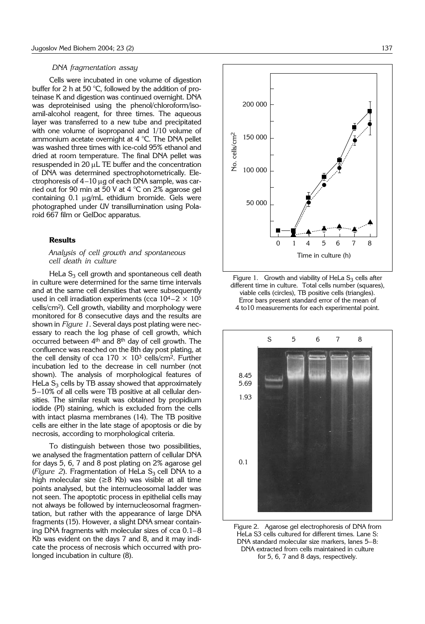#### *DNA fragmentation assay*

Cells were incubated in one volume of digestion buffer for 2 h at 50 °C, followed by the addition of proteinase K and digestion was continued overnight. DNA was deproteinised using the phenol/chloroform/isoamil-alcohol reagent, for three times. The aqueous layer was transferred to a new tube and precipitated with one volume of isopropanol and 1/10 volume of ammonium acetate overnight at 4 °C. The DNA pellet was washed three times with ice-cold 95% ethanol and dried at room temperature. The final DNA pellet was  $resuspended$  in 20  $\mu$ L TE buffer and the concentration of DNA was determined spectrophotometrically. Electrophoresis of  $4-10$  ug of each DNA sample, was carried out for 90 min at 50 V at 4 °C on 2% agarose gel containing  $0.1 \mu g/mL$  ethidium bromide. Gels were photographed under UV transillumination using Polaroid 667 film or GelDoc apparatus.

## **Results**

## *Analysis of cell growth and spontaneous cell death in culture*

HeLa  $S_3$  cell growth and spontaneous cell death in culture were determined for the same time intervals and at the same cell densities that were subsequently used in cell irradiation experiments (cca  $10^4 - 2 \times 10^5$ cells/cm2). Cell growth, viability and morphology were monitored for 8 consecutive days and the results are shown in *Figure 1*. Several days post plating were necessary to reach the log phase of cell growth, which occurred between 4th and 8th day of cell growth. The confluence was reached on the 8th day post plating, at the cell density of cca  $170 \times 10^3$  cells/cm<sup>2</sup>. Further incubation led to the decrease in cell number (not shown). The analysis of morphological features of HeLa  $S_3$  cells by TB assay showed that approximately 5-10% of all cells were TB positive at all cellular densities. The similar result was obtained by propidium iodide (PI) staining, which is excluded from the cells with intact plasma membranes (14). The TB positive cells are either in the late stage of apoptosis or die by necrosis, according to morphological criteria.

To distinguish between those two possibilities, we analysed the fragmentation pattern of cellular DNA for days 5, 6, 7 and 8 post plating on 2% agarose gel (*Figure 2*). Fragmentation of HeLa  $S<sub>3</sub>$  cell DNA to a high molecular size (≥8 Kb) was visible at all time points analysed, but the internucleosomal ladder was not seen. The apoptotic process in epithelial cells may not always be followed by internucleosomal fragmentation, but rather with the appearance of large DNA fragments (15). However, a slight DNA smear containing DNA fragments with molecular sizes of cca  $0.1-8$ Kb was evident on the days 7 and 8, and it may indicate the process of necrosis which occurred with prolonged incubation in culture (8).







Figure 2. Agarose gel electrophoresis of DNA from HeLa S3 cells cultured for different times. Lane S: DNA standard molecular size markers, lanes 5-8: DNA extracted from cells maintained in culture for 5, 6, 7 and 8 days, respectively.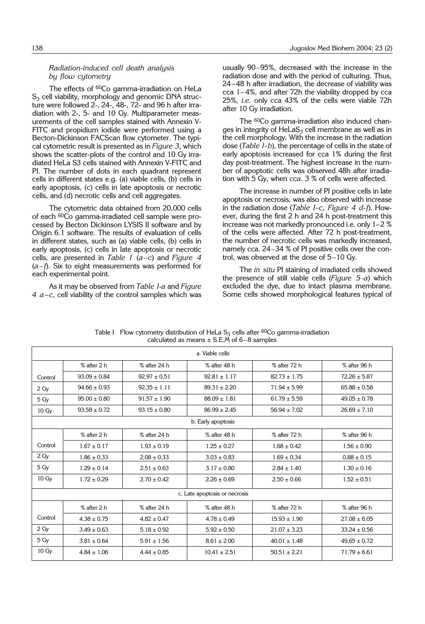# *Radiation*-*induced cell death analysis by flow cytometry*

The effects of <sup>60</sup>Co gamma-irradiation on HeLa  $S<sub>3</sub>$  cell viability, morphology and genomic DNA structure were followed 2-, 24-, 48-, 72- and 96 h after irradiation with 2-, 5- and 10 Gy. Multiparameter measurements of the cell samples stained with Annexin V-FITC and propidium iodide were performed using a Becton-Dickinson FACScan flow cytometer. The typical cytometric result is presented as in *Figure 3*, which shows the scatter-plots of the control and 10 Gy irradiated HeLa S3 cells stained with Annexin V-FITC and PI. The number of dots in each quadrant represent cells in different states e.g. (a) viable cells, (b) cells in early apoptosis, (c) cells in late apoptosis or necrotic cells, and (d) necrotic cells and cell aggregates.

The cytometric data obtained from 20,000 cells of each 60Co gamma-irradiated cell sample were processed by Becton Dickinson LYSIS II software and by Origin 6.1 software. The results of evaluation of cells in different states, such as (a) viable cells, (b) cells in early apoptosis, (c) cells in late apoptosis or necrotic cells, are presented in *Table I* (*a*–*c*) and *Figure 4* (*a*– *f*). Six to eight measurements was performed for each experimental point.

As it may be observed from *Table I*-*a* and *Figure 4 a -c*, cell viability of the control samples which was

usually 90-95%, decreased with the increase in the radiation dose and with the period of culturing. Thus, 24-48 h after irradiation, the decrease of viability was  $cca$  1-4%, and after 72h the viability dropped by  $cca$ 25%, *i.e.* only cca 43% of the cells were viable 72h after 10 Gy irradiation.

The 60Co gamma-irradiation also induced changes in integrity of  $HeLaS<sub>3</sub>$  cell membrane as well as in the cell morphology. With the increase in the radiation dose (*Table I*-*b*), the percentage of cells in the state of early apoptosis increased for cca 1% during the first day post-treatment. The highest increase in the number of apoptotic cells was observed 48h after irradiation with 5 Gy, when *cca.* 3 % of cells were affected.

The increase in number of PI positive cells in late apoptosis or necrosis, was also observed with increase in the radiation dose (*Table I*-*c, Figure 4 d*-*f*). However, during the first 2 h and 24 h post-treatment this increase was not markedly pronounced i.e. only  $1-2$  % of the cells were affected. After 72 h post-treatment, the number of necrotic cells was markedly increased, namely cca. 24–34 % of PI positive cells over the control, was observed at the dose of 5–10 Gy.

The *in situ* PI staining of irradiated cells showed the presence of still viable cells (*Figure 5*-*a*) which excluded the dye, due to intact plasma membrane. Some cells showed morphological features typical of

| a. Viable cells               |                  |                  |                  |                  |                  |
|-------------------------------|------------------|------------------|------------------|------------------|------------------|
|                               | % after 2 h      | % after 24 h     | % after 48 h     | % after 72 h     | % after 96 h     |
| Control                       | $93.09 \pm 0.84$ | $92.97 \pm 0.51$ | $92.81 \pm 1.17$ | $82.73 \pm 1.75$ | $72.26 \pm 5.87$ |
| 2 <sub>Q</sub>                | $94.66 \pm 0.93$ | $92.35 \pm 1.11$ | $89.31 \pm 2.20$ | $71.94 \pm 5.99$ | $65.88 \pm 0.58$ |
| 5 Gy                          | $95.00 \pm 0.80$ | $91.57 \pm 1.90$ | $88.09 \pm 1.81$ | $61.79 \pm 5.59$ | $49.05 \pm 0.78$ |
| $10 \,\mathrm{Gy}$            | $93.58 \pm 0.72$ | $93.15 \pm 0.80$ | $86.99 \pm 2.45$ | $56.94 \pm 7.02$ | $26.69 \pm 7.10$ |
| b. Early apoptosis            |                  |                  |                  |                  |                  |
|                               | % after 2 h      | % after 24 h     | % after 48 h     | % after 72 h     | % after 96 h     |
| Control                       | $1.67 \pm 0.17$  | $1.93 \pm 0.19$  | $1.25 \pm 0.27$  | $1.68 \pm 0.42$  | $1.56 \pm 0.90$  |
| 2 <sub>Y</sub>                | $1.86 \pm 0.33$  | $2.08 \pm 0.33$  | $3.03 \pm 0.83$  | $1.69 \pm 0.34$  | $0.88 \pm 0.15$  |
| 5 Gy                          | $1.29 \pm 0.14$  | $2.51 \pm 0.63$  | $3.17 \pm 0.80$  | $2.84 \pm 1.40$  | $1.30 \pm 0.16$  |
| $10 \,\mathrm{Gy}$            | $1.72 \pm 0.29$  | $2.70 \pm 0.42$  | $2.26 \pm 0.69$  | $2.50 \pm 0.66$  | $1.52 \pm 0.51$  |
| c. Late apoptosis or necrosis |                  |                  |                  |                  |                  |
|                               | % after 2 h      | % after 24 h     | % after 48 h     | % after 72 h     | % after 96 h     |
| Control                       | $4.38 \pm 0.75$  | $4.82 \pm 0.47$  | $4.78 \pm 0.49$  | $15.93 \pm 1.90$ | $27.08 \pm 6.05$ |
| 2 <sub>Q</sub>                | $3.49 \pm 0.63$  | $5.18 \pm 0.92$  | $5.92 \pm 0.50$  | $21.07 \pm 3.23$ | $33.24 \pm 0.56$ |
| 5 Gy                          | $3.81 \pm 0.64$  | $5.91 \pm 1.56$  | $8.61 \pm 2.00$  | $40.01 \pm 1.48$ | $49.65 \pm 0.72$ |
| $10 \,\mathrm{Gy}$            | $4.84 \pm 1.06$  | $4.44 \pm 0.85$  | $10.41 \pm 2.51$ | $50.51 \pm 2.21$ | $71.79 \pm 6.61$ |

Table I Flow cytometry distribution of HeLa  $S_3$  cells after <sup>60</sup>Co gamma-irradiation calculated as means  $\pm$  S.E.M of 6-8 samples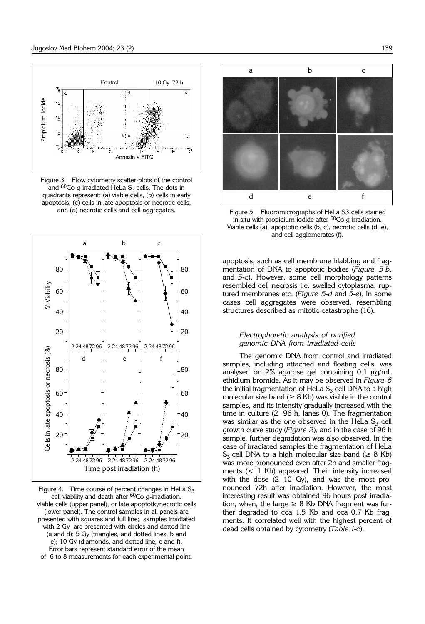

Figure 3. Flow cytometry scatter-plots of the control and  ${}^{60}$ Co g-irradiated HeLa S<sub>3</sub> cells. The dots in quadrants represent: (a) viable cells, (b) cells in early apoptosis, (c) cells in late apoptosis or necrotic cells, and (d) necrotic cells and cell aggregates.



Figure 4. Time course of percent changes in HeLa  $S_3$ cell viability and death after  $60Co$  g-irradiation. Viable cells (upper panel), or late apoptotic/necrotic cells (lower panel). The control samples in all panels are presented with squares and full line; samples irradiated with 2 Gy are presented with circles and dotted line (a and d); 5 Gy (triangles, and dotted lines, b and e); 10 Gy (diamonds, and dotted line, c and f). Error bars represent standard error of the mean of 6 to 8 measurements for each experimental point.



Figure 5. Fluoromicrographs of HeLa S3 cells stained in situ with propidium iodide after  ${}^{60}Co$  g-irradiation. Viable cells (a), apoptotic cells (b, c), necrotic cells (d, e), and cell agglomerates (f).

apoptosis, such as cell membrane blabbing and fragmentation of DNA to apoptotic bodies (*Figure 5*-*b,* and *5*-*c*). However, some cell morphology patterns resembled cell necrosis i.e. swelled cytoplasma, ruptured membranes etc. (*Figure 5*-*d* and *5*-*e*). In some cases cell aggregates were observed, resembling structures described as mitotic catastrophe (16).

### *Electrophoretic analysis of purified genomic DNA from irradiated cells*

The genomic DNA from control and irradiated samples, including attached and floating cells, was analysed on  $2\%$  agarose gel containing  $0.1 \mu g/mL$ ethidium bromide. As it may be observed in *Figure 6* the initial fragmentation of HeLa  $S<sub>3</sub>$  cell DNA to a high molecular size band ( $\geq 8$  Kb) was visible in the control samples, and its intensity gradually increased with the time in culture  $(2-96$  h, lanes 0). The fragmentation was similar as the one observed in the HeLa  $S_3$  cell growth curve study (*Figure 2*), and in the case of 96 h sample, further degradation was also observed. In the case of irradiated samples the fragmentation of HeLa  $S_3$  cell DNA to a high molecular size band ( $\geq 8$  Kb) was more pronounced even after 2h and smaller fragments (< 1 Kb) appeared. Their intensity increased with the dose  $(2-10 \text{ Gy})$ , and was the most pronounced 72h after irradiation. However, the most interesting result was obtained 96 hours post irradiation, when, the large  $\geq$  8 Kb DNA fragment was further degraded to cca 1.5 Kb and cca 0.7 Kb fragments. It correlated well with the highest percent of dead cells obtained by cytometry (*Table I*-*c*).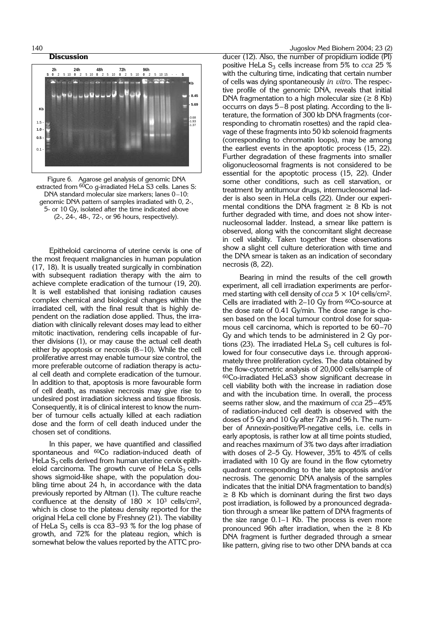#### **Discussion**





Epitheloid carcinoma of uterine cervix is one of the most frequent malignancies in human population (17, 18). It is usually treated surgically in combination with subsequent radiation therapy with the aim to achieve complete eradication of the tumour (19, 20). It is well established that ionising radiation causes complex chemical and biological changes within the irradiated cell, with the final result that is highly dependent on the radiation dose applied. Thus, the irradiation with clinically relevant doses may lead to either mitotic inactivation, rendering cells incapable of further divisions (1), or may cause the actual cell death either by apoptosis or necrosis  $(8-10)$ . While the cell proliferative arrest may enable tumour size control, the more preferable outcome of radiation therapy is actual cell death and complete eradication of the tumour. In addition to that, apoptosis is more favourable form of cell death, as massive necrosis may give rise to undesired post irradiation sickness and tissue fibrosis. Consequently, it is of clinical interest to know the number of tumour cells actually killed at each radiation dose and the form of cell death induced under the chosen set of conditions.

In this paper, we have quantified and classified spontaneous and <sup>60</sup>Co radiation-induced death of HeLa  $S<sub>3</sub>$  cells derived from human uterine cervix epitheloid carcinoma. The growth curve of HeLa  $S_3$  cells shows sigmoid-like shape, with the population doubling time about 24 h, in accordance with the data previously reported by Altman (1). The culture reache confluence at the density of  $180 \times 10^3$  cells/cm<sup>2</sup>, which is close to the plateau density reported for the original HeLa cell clone by Freshney (21). The viability of HeLa  $S_3$  cells is cca 83–93 % for the log phase of growth, and 72% for the plateau region, which is somewhat below the values reported by the ATTC pro-

ducer (12). Also, the number of propidium iodide (PI) positive HeLa  $S_3$  cells increase from 5% to *cca* 25 % with the culturing time, indicating that certain number of cells was dying spontaneously *in vitro*. The respective profile of the genomic DNA, reveals that initial DNA fragmentation to a high molecular size ( $\geq 8$  Kb) occurrs on days  $5-8$  post plating. According to the literature, the formation of 300 kb DNA fragments (corresponding to chromatin rosettes) and the rapid cleavage of these fragments into 50 kb solenoid fragments (corresponding to chromatin loops), may be among the earliest events in the apoptotic process (15, 22). Further degradation of these fragments into smaller oligonucleosomal fragments is not considered to be essential for the apoptotic process (15, 22). Under some other conditions, such as cell starvation, or treatment by antitumour drugs, internucleosomal ladder is also seen in HeLa cells (22). Under our experimental conditions the DNA fragment  $\geq 8$  Kb is not further degraded with time, and does not show internucleosomal ladder. Instead, a smear like pattern is observed, along with the concomitant slight decrease in cell viability. Taken together these observations show a slight cell culture deterioration with time and the DNA smear is taken as an indication of secondary necrosis (8, 22).

Bearing in mind the results of the cell growth experiment, all cell irradiation experiments are performed starting with cell density of  $cca 5 \times 10^4$  cells/cm<sup>2</sup>. Cells are irradiated with  $2-10$  Gy from  $60$ Co-source at the dose rate of 0.41 Gy/min. The dose range is chosen based on the local tumour control dose for squamous cell carcinoma, which is reported to be  $60-70$ Gy and which tends to be administered in 2 Gy portions (23). The irradiated HeLa  $S_3$  cell cultures is followed for four consecutive days i.e. through approximately three proliferation cycles. The data obtained by the flow-cytometric analysis of 20,000 cells/sample of 60Co-irradiated HeLaS3 show significant decrease in cell viability both with the increase in radiation dose and with the incubation time. In overall, the process seems rather slow, and the maximum of *cca* 25-45% of radiation-induced cell death is observed with the doses of 5 Gy and 10 Gy after 72h and 96 h. The number of Annexin-positive/PI-negative cells, i.e. cells in early apoptosis, is rather low at all time points studied, and reaches maximum of 3% two days after irradiation with doses of  $2-5$  Gy. However,  $35\%$  to  $45\%$  of cells irradiated with 10 Gy are found in the flow cytometry quadrant corresponding to the late apoptosis and/or necrosis. The genomic DNA analysis of the samples indicates that the initial DNA fragmentation to band(s)  $\geq$  8 Kb which is dominant during the first two days post irradiation, is followed by a pronounced degradation through a smear like pattern of DNA fragments of the size range  $0.1-1$  Kb. The process is even more pronounced 96h after irradiation, when the  $\geq 8$  Kb DNA fragment is further degraded through a smear like pattern, giving rise to two other DNA bands at cca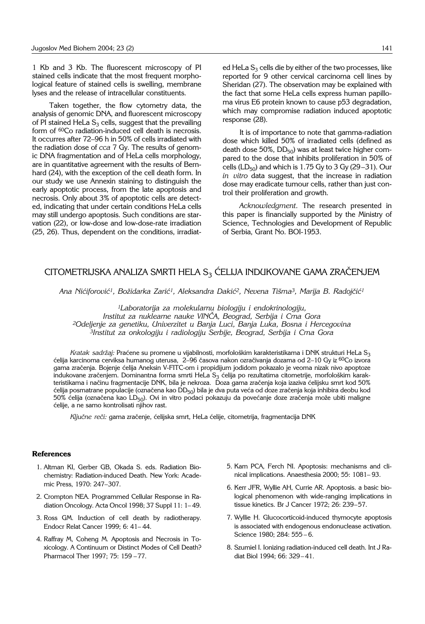1 Kb and 3 Kb. The fluorescent microscopy of PI stained cells indicate that the most frequent morphological feature of stained cells is swelling, membrane lyses and the release of intracellular constituents.

Taken together, the flow cytometry data, the analysis of genomic DNA, and fluorescent microscopy of PI stained HeLa  $S_3$  cells, suggest that the prevailing form of <sup>60</sup>Co radiation-induced cell death is necrosis. It occurres after 72–96 h in 50% of cells irradiated with the radiation dose of *cca* 7 Gy. The results of genomic DNA fragmentation and of HeLa cells morphology, are in quantitative agreement with the results of Bernhard (24), with the exception of the cell death form. In our study we use Annexin staining to distinguish the early apoptotic process, from the late apoptosis and necrosis. Only about 3% of apoptotic cells are detected, indicating that under certain conditions HeLa cells may still undergo apoptosis. Such conditions are starvation (22), or low-dose and low-dose-rate irradiation (25, 26). Thus, dependent on the conditions, irradiated HeLa  $S_3$  cells die by either of the two processes, like reported for 9 other cervical carcinoma cell lines by Sheridan (27). The observation may be explained with the fact that some HeLa cells express human papilloma virus E6 protein known to cause p53 degradation, which may compromise radiation induced apoptotic response (28).

It is of importance to note that gamma-radiation dose which killed 50% of irradiated cells (defined as death dose 50%,  $DD_{50}$ ) was at least twice higher compared to the dose that inhibits proliferation in 50% of cells (LD<sub>50</sub>) and which is 1.75 Gy to 3 Gy (29-31). Our *in vitro* data suggest, that the increase in radiation dose may eradicate tumour cells, rather than just control their proliferation and growth.

*Acknowledgment.* The research presented in this paper is financially supported by the Ministry of Science, Technologies and Development of Republic of Serbia, Grant No. BOI-1953.

# CITOMETRIJSKA ANALIZA SMRTI HELA S<sub>3</sub> ĆELIJA INDUKOVANE GAMA ZRAČENJEM

Ana Nićiforović<sup>1</sup>, Božidarka Zarić<sup>1</sup>, Aleksandra Dakić<sup>2</sup>, Nevena Tišma<sup>3</sup>, Marija B. Radojčić<sup>1</sup>

*1Laboratorija za molekularnu biologiju i endokrinologiju, Institut za nuklearne nauke VIN^A, Beograd, Serbija i Crna Gora 2Odeljenje za genetiku, Univerzitet u Banja Luci, Banja Luka, Bosna i Hercegovina 3Institut za onkologiju i radiologiju Serbije, Beograd, Serbija i Crna Gora*

*Kratak sadržaj: Praćene su promene u vijabilnosti, morfološkim karakteristikama i DNK strukturi HeLa S<sub>3</sub>* ćelija karcinoma cerviksa humanog uterusa, 2-96 časova nakon ozračivanja dozama od 2-10 Gy iz <sup>60</sup>Co izvora gama zračenja. Bojenje ćelija Aneksin V-FITC-om i propidijum jodidom pokazalo je veoma nizak nivo apoptoze indukovane zračenjem. Dominantna forma smrti HeLa S<sub>3</sub> ćelija po rezultatima citometrije, morfološkim karakteristikama i načinu fragmentacije DNK, bila je nekroza. Doza gama zračenja koja izaziva ćelijsku smrt kod 50% ćelija posmatrane populacije (označena kao DD<sub>50</sub>) bila je dva puta veća od doze zračenja koja inhibira deobu kod 50% ćelija (označena kao LD<sub>50</sub>). Ovi in vitro podaci pokazuju da povećanje doze zračenja može ubiti maligne ćelije, a ne samo kontrolisati njihov rast.

Ključne reči: gama zračenje, ćelijska smrt, HeLa ćelije, citometrija, fragmentacija DNK

### **References**

- 1. Altman KI, Gerber GB, Okada S. eds. Radiation Biochemistry: Radiation-induced Death. New York: Academic Press, 1970: 247-307.
- 2. Crompton NEA. Programmed Cellular Response in Radiation Oncology. Acta Oncol 1998; 37 Suppl 11: 1-49.
- 3. Ross GM. Induction of cell death by radiotherapy. Endocr Relat Cancer 1999; 6: 41-44.
- 4. Raffray M, Coheng M. Apoptosis and Necrosis in Toxicology. A Continuum or Distinct Modes of Cell Death? Pharmacol Ther 1997; 75: 159-77.
- 5. Kam PCA, Ferch NI. Apoptosis: mechanisms and clinical implications. Anaesthesia 2000; 55: 1081-93.
- 6. Kerr JFR, Wyllie AH, Currie AR. Apoptosis. a basic biological phenomenon with wide-ranging implications in tissue kinetics. Br J Cancer 1972; 26: 239-57.
- 7. Wyllie H. Glucocorticoid-induced thymocyte apoptosis is associated with endogenous endonuclease activation. Science 1980; 284: 555-6.
- 8. Szumiel I. Ionizing radiation-induced cell death. Int J Radiat Biol 1994; 66: 329-41.